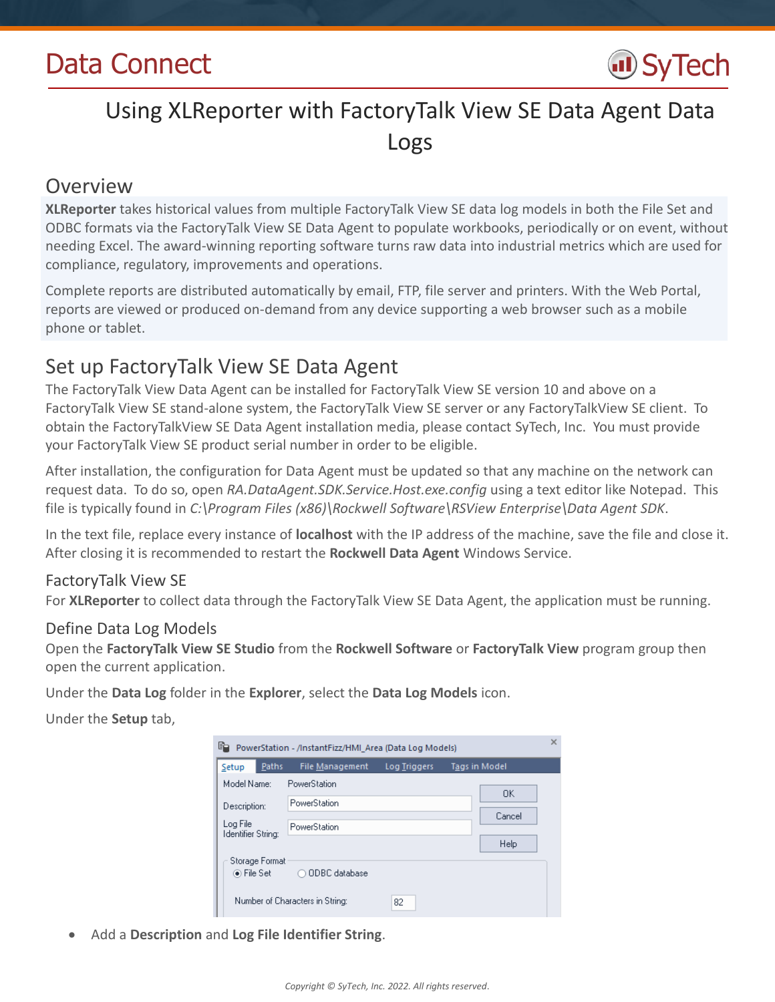

# Using XLReporter with FactoryTalk View SE Data Agent Data Logs

# Overview

**XLReporter** takes historical values from multiple FactoryTalk View SE data log models in both the File Set and ODBC formats via the FactoryTalk View SE Data Agent to populate workbooks, periodically or on event, without needing Excel. The award-winning reporting software turns raw data into industrial metrics which are used for compliance, regulatory, improvements and operations.

Complete reports are distributed automatically by email, FTP, file server and printers. With the Web Portal, reports are viewed or produced on-demand from any device supporting a web browser such as a mobile phone or tablet.

# Set up FactoryTalk View SE Data Agent

The FactoryTalk View Data Agent can be installed for FactoryTalk View SE version 10 and above on a FactoryTalk View SE stand-alone system, the FactoryTalk View SE server or any FactoryTalkView SE client. To obtain the FactoryTalkView SE Data Agent installation media, please contact SyTech, Inc. You must provide your FactoryTalk View SE product serial number in order to be eligible.

After installation, the configuration for Data Agent must be updated so that any machine on the network can request data. To do so, open *RA.DataAgent.SDK.Service.Host.exe.config* using a text editor like Notepad. This file is typically found in *C:\Program Files (x86)\Rockwell Software\RSView Enterprise\Data Agent SDK*.

In the text file, replace every instance of **localhost** with the IP address of the machine, save the file and close it. After closing it is recommended to restart the **Rockwell Data Agent** Windows Service.

### FactoryTalk View SE

For **XLReporter** to collect data through the FactoryTalk View SE Data Agent, the application must be running.

### Define Data Log Models

Open the **FactoryTalk View SE Studio** from the **Rockwell Software** or **FactoryTalk View** program group then open the current application.

Under the **Data Log** folder in the **Explorer**, select the **Data Log Models** icon.

Under the **Setup** tab,

| 眙<br>PowerStation - /InstantFizz/HMI_Area (Data Log Models) |                                 |                     |  |                      |  |
|-------------------------------------------------------------|---------------------------------|---------------------|--|----------------------|--|
| Paths<br>Setup                                              | <b>File Management</b>          | <b>Log Triggers</b> |  | <b>Tags in Model</b> |  |
| Model Name:                                                 | PowerStation                    |                     |  | <b>OK</b>            |  |
| Description:                                                | PowerStation                    |                     |  |                      |  |
| Log File<br><b>Identifier String:</b>                       | PowerStation                    |                     |  | Cancel               |  |
|                                                             |                                 |                     |  | Help                 |  |
| Storage Format<br>⊛ File Set –                              | ◯ ODBC database                 |                     |  |                      |  |
|                                                             | Number of Characters in String: | 82                  |  |                      |  |

Add a **Description** and **Log File Identifier String**.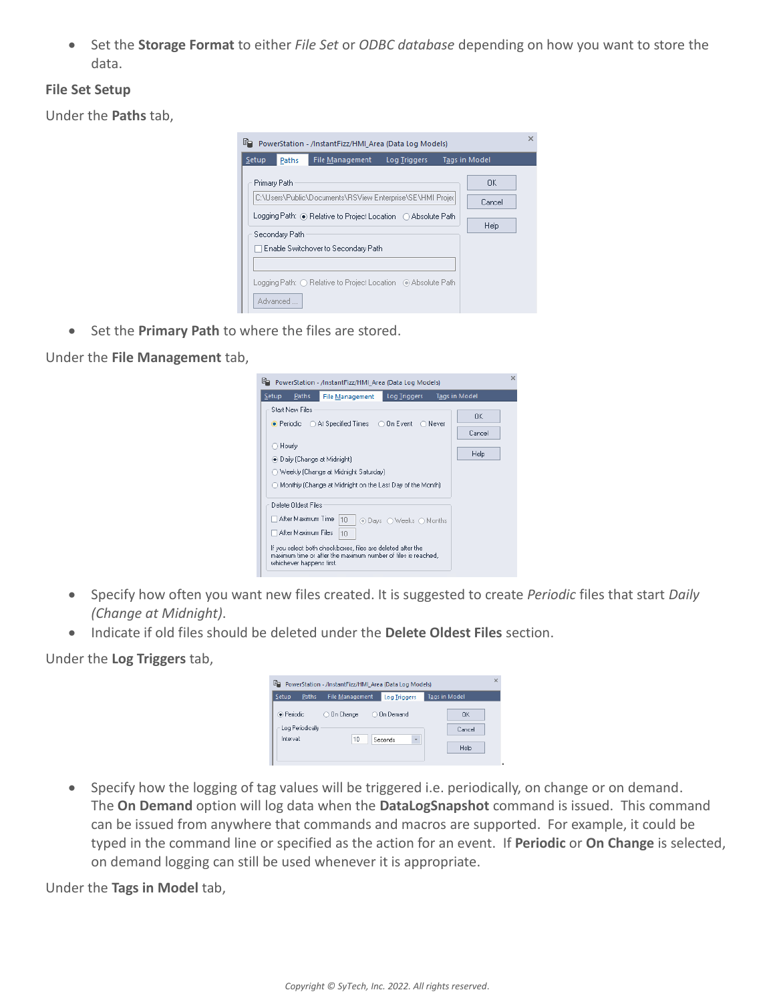Set the **Storage Format** to either *File Set* or *ODBC database* depending on how you want to store the data.

#### **File Set Setup**

Under the **Paths** tab,

| œ |              |                | PowerStation - /InstantFizz/HMI Area (Data Log Models)                                                                     |              |                       | $\times$ |
|---|--------------|----------------|----------------------------------------------------------------------------------------------------------------------------|--------------|-----------------------|----------|
|   | Setup        | Paths          | <b>File Management</b>                                                                                                     | Log Triggers | <b>Tags in Model</b>  |          |
|   | Primary Path | Secondary Path | C:\Users\Public\Documents\RSView Enterprise\SE\HMI Projec<br>Logging Path: ◉ Relative to Project Location (○ Absolute Path |              | OK.<br>Cancel<br>Help |          |
|   |              |                | Enable Switchover to Secondary Path                                                                                        |              |                       |          |
|   |              | Advanced       | Logging Path: ○ Relative to Project Location - ◉ Absolute Path                                                             |              |                       |          |

**Set the Primary Path** to where the files are stored.

Under the **File Management** tab,

| lie.<br>PowerStation - /InstantFizz/HMI Area (Data Log Models)                                                                                                                                                                                                     |                      |
|--------------------------------------------------------------------------------------------------------------------------------------------------------------------------------------------------------------------------------------------------------------------|----------------------|
| <b>Log Triggers</b><br>Paths<br>Setup<br><b>File Management</b>                                                                                                                                                                                                    | <b>Tags in Model</b> |
| <b>Start New Files</b><br>$\bullet$ Periodic $\circ$ At Specified Times $\circ$ On Event<br>∩ Never                                                                                                                                                                | OK.<br>Cancel        |
| ○ Hourly<br>. Daily (Change at Midnight)<br>◯ Weekly (Change at Midnight Saturday)<br>◯ Monthly (Change at Midnight on the Last Day of the Month)                                                                                                                  | <b>Help</b>          |
| Delete Oldest Files<br>After Maximum Time<br>10<br>⊙ Davs ∧ Weeks ∧ Months<br>After Maximum Files<br>10<br>If you select both checkboxes, files are deleted after the<br>maximum time or after the maximum number of files is reached.<br>whichever happens first. |                      |

- Specify how often you want new files created. It is suggested to create *Periodic* files that start *Daily (Change at Midnight)*.
- Indicate if old files should be deleted under the **Delete Oldest Files** section.

Under the **Log Triggers** tab,

| G.<br>PowerStation - /InstantFizz/HMI Area (Data Log Models) |                          |                      |                      |  |
|--------------------------------------------------------------|--------------------------|----------------------|----------------------|--|
| Paths<br><b>Setup</b>                                        | File Management          | <b>Log Triggers</b>  | <b>Tags in Model</b> |  |
| · Periodic                                                   | On Change<br>n<br>$\cap$ | <b>On Demand</b>     | OK                   |  |
| Log Periodically                                             |                          |                      | Cancel               |  |
| Interval:                                                    | 10                       | $\ddot{}$<br>Seconds | Help                 |  |
|                                                              |                          |                      |                      |  |
|                                                              |                          |                      |                      |  |

 Specify how the logging of tag values will be triggered i.e. periodically, on change or on demand. The **On Demand** option will log data when the **DataLogSnapshot** command is issued. This command can be issued from anywhere that commands and macros are supported. For example, it could be typed in the command line or specified as the action for an event. If **Periodic** or **On Change** is selected, on demand logging can still be used whenever it is appropriate.

Under the **Tags in Model** tab,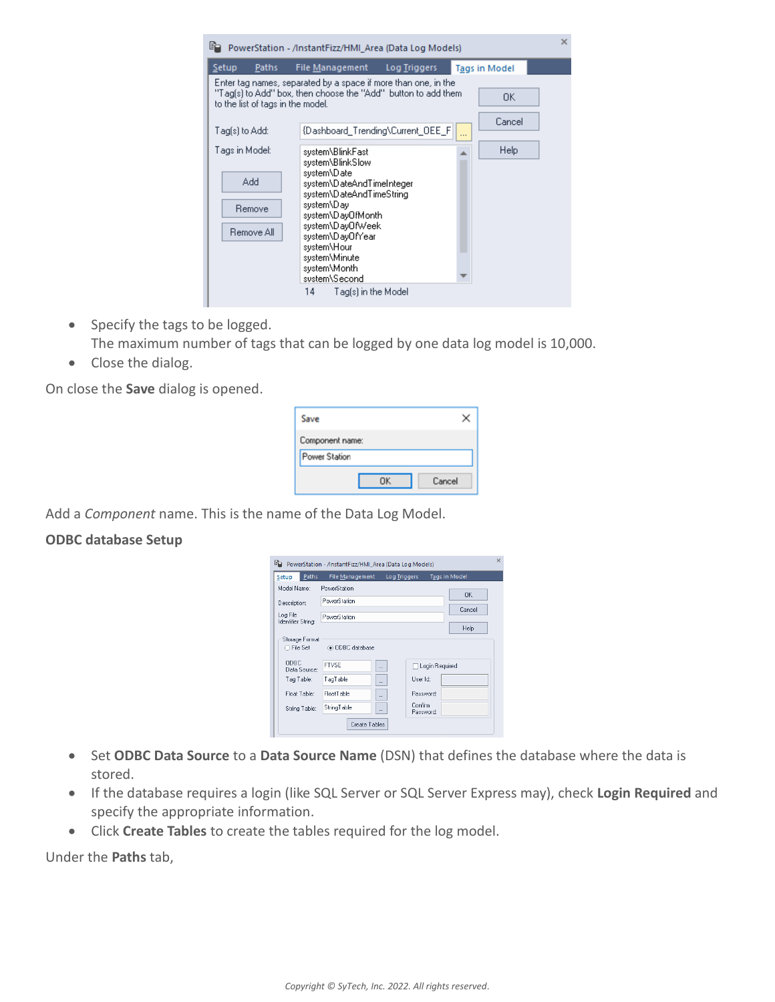| 昫<br>PowerStation - /InstantFizz/HMI Area (Data Log Models)                                                                                                                            |                                                                                                                                                                                                                                                                                        |              |   |                            | × |
|----------------------------------------------------------------------------------------------------------------------------------------------------------------------------------------|----------------------------------------------------------------------------------------------------------------------------------------------------------------------------------------------------------------------------------------------------------------------------------------|--------------|---|----------------------------|---|
| Setup<br>Paths<br>Enter tag names, separated by a space if more than one, in the<br>"Tag[s] to Add" box, then choose the "Add" button to add them<br>to the list of tags in the model. | File Management                                                                                                                                                                                                                                                                        | Log Triggers |   | <b>Tags in Model</b><br>0K |   |
| Tag[s] to Add:                                                                                                                                                                         | {Dashboard_Trending\Current_OEE_F                                                                                                                                                                                                                                                      |              | . | Cancel                     |   |
| Tags in Model:<br>Add<br>Remove<br>Remove All                                                                                                                                          | system\BlinkFast<br>system\BlinkSlow<br>system\Date<br>system\DateAndTimeInteger<br>system\DateAndTimeString<br>system\Day<br>system\DayOfMonth<br>system\DavOfWeek<br>system\DayOfYear<br>system\Hour<br>system\Minute<br>system\Month<br>sustem\Second<br>14.<br>Tag(s) in the Model |              |   | Help                       |   |

- Specify the tags to be logged. The maximum number of tags that can be logged by one data log model is 10,000.
- Close the dialog.

On close the **Save** dialog is opened.

| Save                             |        |
|----------------------------------|--------|
| Component name:<br>Power Station |        |
|                                  | Cancel |

Add a *Component* name. This is the name of the Data Log Model.

### **ODBC database Setup**

|                                | Fig. PowerStation - /InstantFizz/HMI_Area (Data Log Models) |                     |                      |               | $\times$ |  |
|--------------------------------|-------------------------------------------------------------|---------------------|----------------------|---------------|----------|--|
| Paths<br>Setup                 | File Management                                             | <b>Log Triggers</b> |                      | Tags in Model |          |  |
| Model Name:                    | PowerStation                                                |                     |                      | OK            |          |  |
| Description:                   | PowerStation                                                |                     |                      |               |          |  |
| Log File<br>Identifier String: | Cancel                                                      |                     |                      |               |          |  |
|                                | Help                                                        |                     |                      |               |          |  |
| Storage Format<br>⊙ File Set   | ● ODBC database                                             |                     |                      |               |          |  |
| <b>ODBC</b><br>Data Source:    | <b>FTVSE</b>                                                |                     | □ Login Required     |               |          |  |
| Tag Table:                     | TagTable                                                    | $\cdots$            | User Id:             |               |          |  |
| Float Table:                   | <b>FloatTable</b>                                           | $\cdots$            | Password:            |               |          |  |
| String Table:                  | StringTable                                                 | $\cdots$            | Confirm<br>Password: |               |          |  |
|                                | Create Tables                                               |                     |                      |               |          |  |

- Set **ODBC Data Source** to a **Data Source Name** (DSN) that defines the database where the data is stored.
- If the database requires a login (like SQL Server or SQL Server Express may), check **Login Required** and specify the appropriate information.
- Click **Create Tables** to create the tables required for the log model.

Under the **Paths** tab,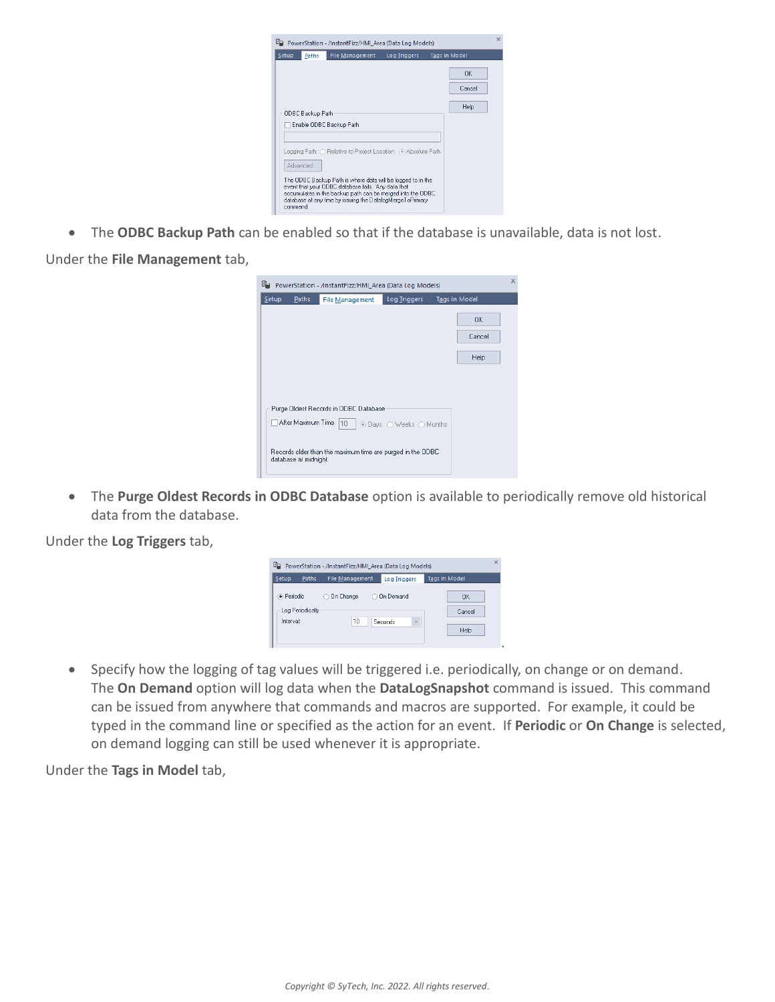| lia. |          |                  | PowerStation - /InstantFizz/HMI Area (Data Log Models)                                                                                                                                                                                       |              |                      | $\times$ |
|------|----------|------------------|----------------------------------------------------------------------------------------------------------------------------------------------------------------------------------------------------------------------------------------------|--------------|----------------------|----------|
|      | Setup    | Paths            | File Management                                                                                                                                                                                                                              | Log Triggers | <b>Tags in Model</b> |          |
|      |          |                  |                                                                                                                                                                                                                                              |              | 0K<br>Cancel         |          |
|      |          | ODBC Backup Path | Enable ODBC Backup Path                                                                                                                                                                                                                      |              | Help                 |          |
|      |          | Advanced         | Logging Path: ○ Relative to Project Location - ④ Absolute Path                                                                                                                                                                               |              |                      |          |
|      | command. |                  | The ODBC Backup Path is where data will be logged to in the<br>event that your ODBC database fails. Any data that<br>accumulates in the backup path can be merged into the ODBC<br>database at any time by issuing the DatalogMergeToPrimary |              |                      |          |

The **ODBC Backup Path** can be enabled so that if the database is unavailable, data is not lost.

Under the **File Management** tab,

| Fig. PowerStation - /InstantFizz/HMI_Area (Data Log Models)                         |                      | $\times$ |
|-------------------------------------------------------------------------------------|----------------------|----------|
| Log Triggers<br>Setup<br><b>Paths</b><br><b>File Management</b>                     | <b>Tags in Model</b> |          |
|                                                                                     | OK.                  |          |
|                                                                                     | Cancel               |          |
|                                                                                     | Help                 |          |
|                                                                                     |                      |          |
|                                                                                     |                      |          |
| Purge Oldest Records in ODBC Database                                               |                      |          |
| After Maximum Time  10<br>⊙ Days ○ Weeks ○ Months                                   |                      |          |
| Records older than the maximum time are purged in the ODBC<br>database at midnight. |                      |          |

 The **Purge Oldest Records in ODBC Database** option is available to periodically remove old historical data from the database.

Under the **Log Triggers** tab,

| G.<br>PowerStation - /InstantFizz/HMI Area (Data Log Models) |       |                       |   |                      | $\times$             |  |
|--------------------------------------------------------------|-------|-----------------------|---|----------------------|----------------------|--|
| Setup                                                        | Paths | File Management       |   | <b>Log Triggers</b>  | <b>Tags in Model</b> |  |
| · Periodic                                                   |       | <b>On Change</b><br>O | O | <b>On Demand</b>     | OK                   |  |
| Log Periodically                                             |       |                       |   |                      | Cancel               |  |
| Interval:                                                    |       | 10                    |   | $\ddot{}$<br>Seconds |                      |  |
|                                                              |       |                       |   |                      | Help                 |  |
|                                                              |       |                       |   |                      |                      |  |
|                                                              |       |                       |   |                      |                      |  |

• Specify how the logging of tag values will be triggered i.e. periodically, on change or on demand. The **On Demand** option will log data when the **DataLogSnapshot** command is issued. This command can be issued from anywhere that commands and macros are supported. For example, it could be typed in the command line or specified as the action for an event. If **Periodic** or **On Change** is selected, on demand logging can still be used whenever it is appropriate.

Under the **Tags in Model** tab,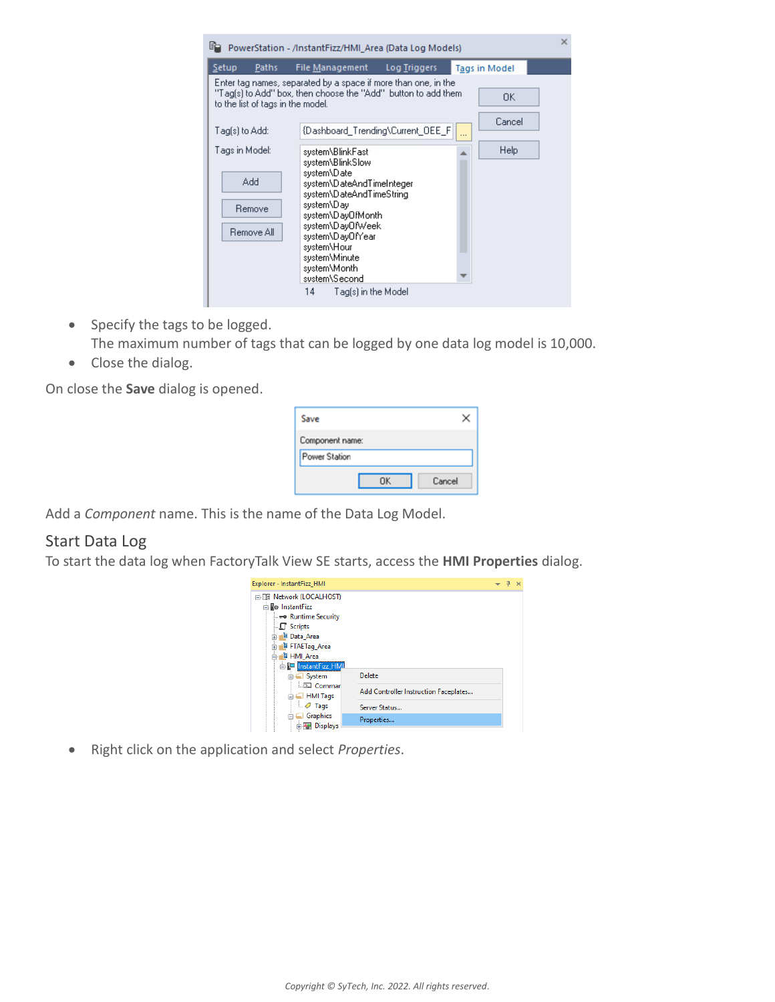| Setup<br>File Management<br>Log Triggers<br>Paths<br><b>Tags in Model</b><br>Enter tag names, separated by a space if more than one, in the<br>"Tag[s] to Add" box, then choose the "Add" button to add them<br>0K                                                                                                                              |
|-------------------------------------------------------------------------------------------------------------------------------------------------------------------------------------------------------------------------------------------------------------------------------------------------------------------------------------------------|
| to the list of tags in the model.                                                                                                                                                                                                                                                                                                               |
| Cancel<br>{Dashboard_Trending\Current_OEE_F<br>Tag(s) to Add:<br>                                                                                                                                                                                                                                                                               |
| Help<br>Tags in Model:<br>system\BlinkFast<br>system\BlinkSlow<br>system\Date<br>Add<br>system\DateAndTimeInteger<br>system\DateAndTimeString<br>system\Day<br>Remove<br>system\DayOfMonth<br>system\DayOfWeek<br>Remove All<br>system\DayOfYear<br>system\Hour<br>system\Minute<br>system\Month<br>system\Second<br>14.<br>Tag(s) in the Model |

- Specify the tags to be logged. The maximum number of tags that can be logged by one data log model is 10,000.
- Close the dialog.

On close the **Save** dialog is opened.

| Save                             |        |
|----------------------------------|--------|
| Component name:<br>Power Station |        |
|                                  | Cancel |

Add a *Component* name. This is the name of the Data Log Model.

### Start Data Log

To start the data log when FactoryTalk View SE starts, access the **HMI Properties** dialog.



Right click on the application and select *Properties*.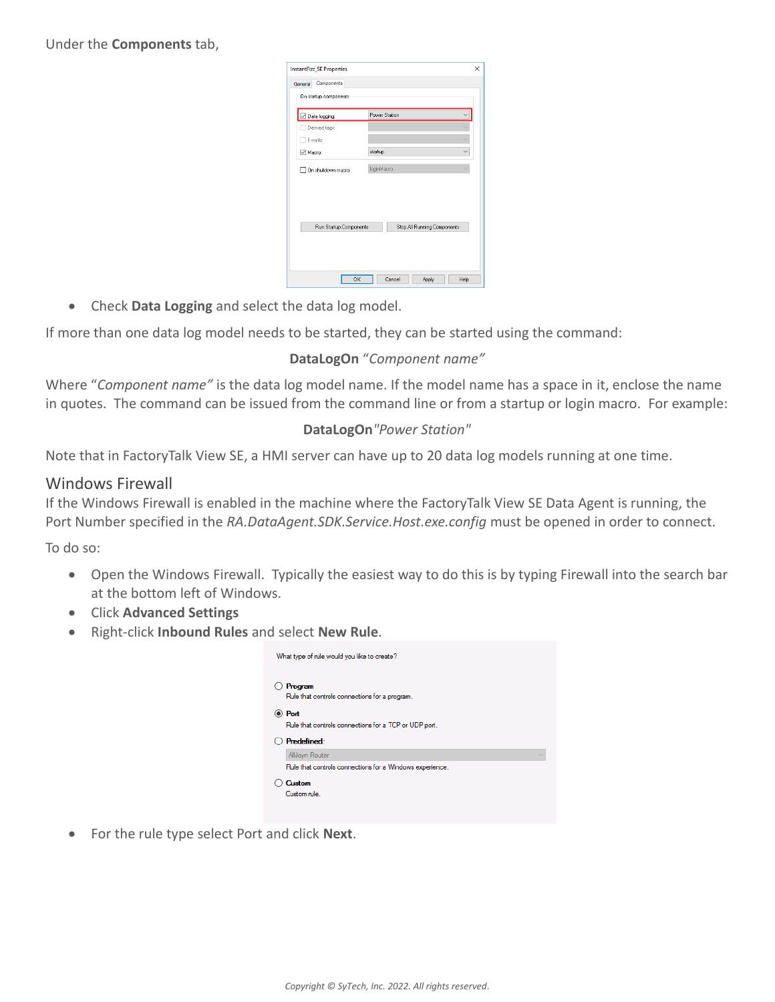Under the **Components** tab,

| <b>InstantFizz_SE Properties</b> |                             | $\times$ |
|----------------------------------|-----------------------------|----------|
| Components<br>General            |                             |          |
| On startup components            |                             |          |
| $\boxdot$ Data logging:          | <b>Power Station</b>        |          |
| Derived tags:                    |                             |          |
| Events:                          |                             |          |
| □ Macro:                         | startup                     |          |
| On shutdown macro:               | loginMacro                  |          |
|                                  |                             |          |
|                                  |                             |          |
| Run Startup Components           | Stop All Running Components |          |
|                                  |                             |          |
|                                  |                             |          |
| OK                               | Cancel<br>Help<br>Apply     |          |

Check **Data Logging** and select the data log model.

If more than one data log model needs to be started, they can be started using the command:

### **DataLogOn** "*Component name"*

Where "*Component name"* is the data log model name. If the model name has a space in it, enclose the name in quotes. The command can be issued from the command line or from a startup or login macro. For example:

### **DataLogOn***"Power Station"*

Note that in FactoryTalk View SE, a HMI server can have up to 20 data log models running at one time.

### Windows Firewall

If the Windows Firewall is enabled in the machine where the FactoryTalk View SE Data Agent is running, the Port Number specified in the *RA.DataAgent.SDK.Service.Host.exe.config* must be opened in order to connect.

To do so:

- Open the Windows Firewall. Typically the easiest way to do this is by typing Firewall into the search bar at the bottom left of Windows.
- Click **Advanced Settings**
- Right-click **Inbound Rules** and select **New Rule**.

| What type of rule would you like to create?                     |
|-----------------------------------------------------------------|
| Program<br>Rule that controls connections for a program.        |
| ◉ Port<br>Rule that controls connections for a TCP or UDP port. |
| Predefined:                                                     |
| AllJoyn Router                                                  |
| Rule that controls connections for a Windows experience.        |
|                                                                 |

For the rule type select Port and click **Next**.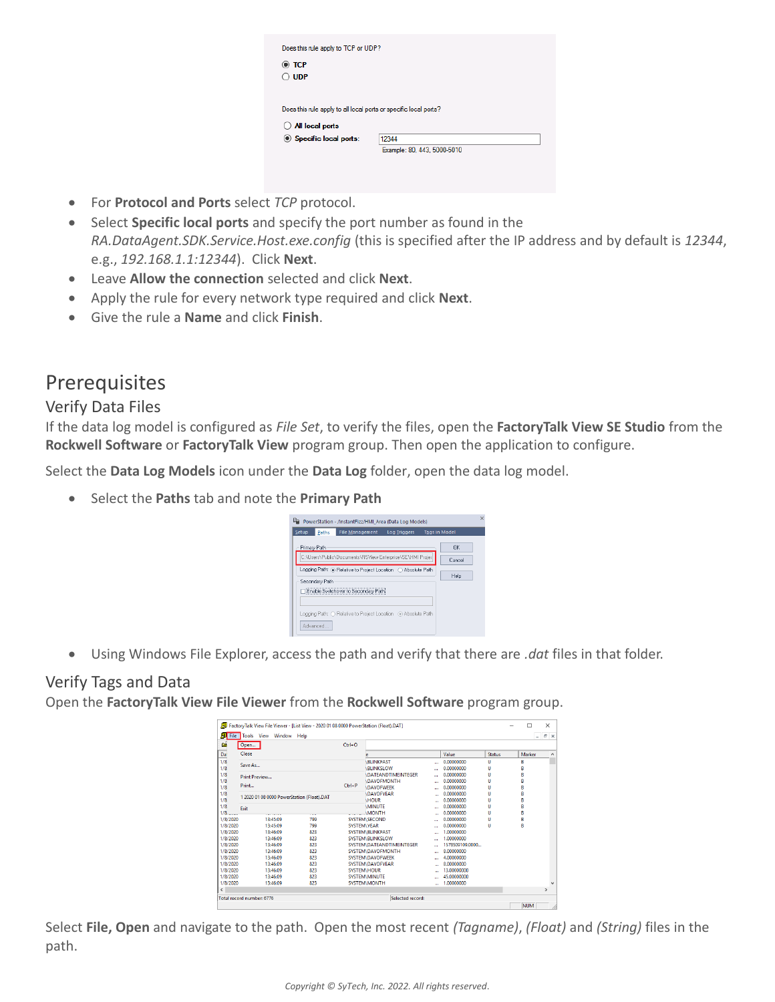| $\odot$ TCP                                                      |       |
|------------------------------------------------------------------|-------|
| <b>UDP</b>                                                       |       |
|                                                                  |       |
|                                                                  |       |
|                                                                  |       |
| Does this rule apply to all local ports or specific local ports? |       |
| All local ports                                                  |       |
| Specific local ports:                                            | 12344 |

- For **Protocol and Ports** select *TCP* protocol.
- Select **Specific local ports** and specify the port number as found in the *RA.DataAgent.SDK.Service.Host.exe.config* (this is specified after the IP address and by default is *12344*, e.g., *192.168.1.1:12344*). Click **Next**.
- Leave **Allow the connection** selected and click **Next**.
- Apply the rule for every network type required and click **Next**.
- Give the rule a **Name** and click **Finish**.

# Prerequisites

### Verify Data Files

If the data log model is configured as *File Set*, to verify the files, open the **FactoryTalk View SE Studio** from the **Rockwell Software** or **FactoryTalk View** program group. Then open the application to configure.

Select the **Data Log Models** icon under the **Data Log** folder, open the data log model.

Select the **Paths** tab and note the **Primary Path**

| G<br>PowerStation - /InstantFizz/HMI Area (Data Log Models)                             |                                 | $\times$ |
|-----------------------------------------------------------------------------------------|---------------------------------|----------|
| <b>File Management</b><br>Setup<br><b>Log Triggers</b><br><b>Tags in Model</b><br>Paths |                                 |          |
| Primary Path<br>C:\Users\Public\Documents\RSView Enterprise\SE\HMI Projec               | <b>n</b> <sub>K</sub><br>Cancel |          |
| Logging Path: . Relative to Project Location Absolute Path<br>Secondary Path            | Help                            |          |
| Enable Switchover to Secondary Path                                                     |                                 |          |
| Logging Path: ○ Relative to Project Location . ⓒ Absolute Path<br>Advanced              |                                 |          |

Using Windows File Explorer, access the path and verify that there are *.dat* files in that folder.

## Verify Tags and Data

Open the **FactoryTalk View File Viewer** from the **Rockwell Software** program group.

| Da<br>1/8<br>1/8                     | Close                                      |            |                    |                                  |          |                           |               |        |               |
|--------------------------------------|--------------------------------------------|------------|--------------------|----------------------------------|----------|---------------------------|---------------|--------|---------------|
|                                      |                                            |            |                    |                                  |          | Value                     | <b>Status</b> | Marker |               |
|                                      | Save As                                    |            |                    | <b>BLINKFAST</b>                 |          | 0.00000000                | U             | B      |               |
|                                      |                                            |            |                    | <b>BLINKSLOW</b>                 |          | 0.00000000                | u             | B      |               |
| 1/8                                  | Print Preview                              |            |                    | <b>IDATEANDTIMEINTEGER</b>       |          | 0.00000000                | u             | R      |               |
| 1/8                                  | Print                                      |            | $Ctrl + P$         | <b>\DAYOFMONTH</b>               |          | 0.00000000                | Ü             | B      |               |
| 1/8                                  |                                            |            |                    | <b>IDAYOFWEEK</b>                | m        | 0.00000000                | Ü             | R      |               |
| 1/8                                  | 1 2020 01 08 0000 PowerStation (Float).DAT |            |                    | <b>DAYOFYEAR</b>                 | $\cdots$ | 0.00000000                | u             | B      |               |
| 1/8                                  |                                            |            |                    | <b>HOUR</b>                      |          | 0.00000000                | Ü             | B      |               |
| 1/8                                  | <b>Exit</b>                                |            |                    | <b>MINUTE</b>                    | a e      | 0.00000000                | Ü             | R      |               |
| $1/8$ ____                           | .                                          | ---        |                    | <b>MONTH</b>                     | $\cdots$ | 0.00000000                | U             | B      |               |
| 1/8/2020<br>1/8/2020                 | 13:45:09<br>13:45:09                       | 799<br>799 |                    | <b>SYSTEM\SECOND</b>             | $\cdots$ | 0.00000000                | Ü             | B<br>R |               |
|                                      |                                            |            | <b>SYSTEM\YEAR</b> |                                  |          | 0.00000000                | u             |        |               |
| 1/8/2020                             | 13:46:09<br>13:46:09                       | 823        |                    | <b>SYSTEM\BLINKFAST</b>          | 44       | 1.00000000<br>1.00000000  |               |        |               |
| 1/8/2020                             |                                            | 823        |                    | <b>SYSTEM\BLINKSLOW</b>          | m.       | 1578509109.0000           |               |        |               |
| 1/8/2020                             | 13:46:09<br>13:46:09                       | 823<br>823 |                    | <b>SYSTEM\DATEANDTIMEINTEGER</b> | $\cdots$ | 8.00000000                |               |        |               |
| 1/8/2020                             | 13:46:09                                   | 823        |                    | SYSTEM\DAYOFMONTH                |          | 4.00000000                |               |        |               |
| 1/8/2020                             |                                            |            |                    | <b>SYSTEM\DAYOFWEEK</b>          | $\cdots$ |                           |               |        |               |
| 1/8/2020                             | 13:46:09<br>13:46:09                       | 823<br>823 |                    | <b>SYSTEM\DAYOFYEAR</b>          | $\cdots$ | 8.00000000<br>13.00000000 |               |        |               |
| 1/8/2020                             |                                            |            |                    | <b>SYSTEM\HOUR</b>               | $\sim$   |                           |               |        |               |
| 1/8/2020                             | 13:46:09                                   | 823        |                    | <b>SYSTEM\MINUTE</b>             |          | 45.00000000               |               |        |               |
| 1/8/2020<br>$\overline{\phantom{a}}$ | 13:46:09                                   | 823        |                    | <b>SYSTEM\MONTH</b>              |          | 1.00000000                |               |        | $\rightarrow$ |

Select **File, Open** and navigate to the path. Open the most recent *(Tagname)*, *(Float)* and *(String)* files in the path.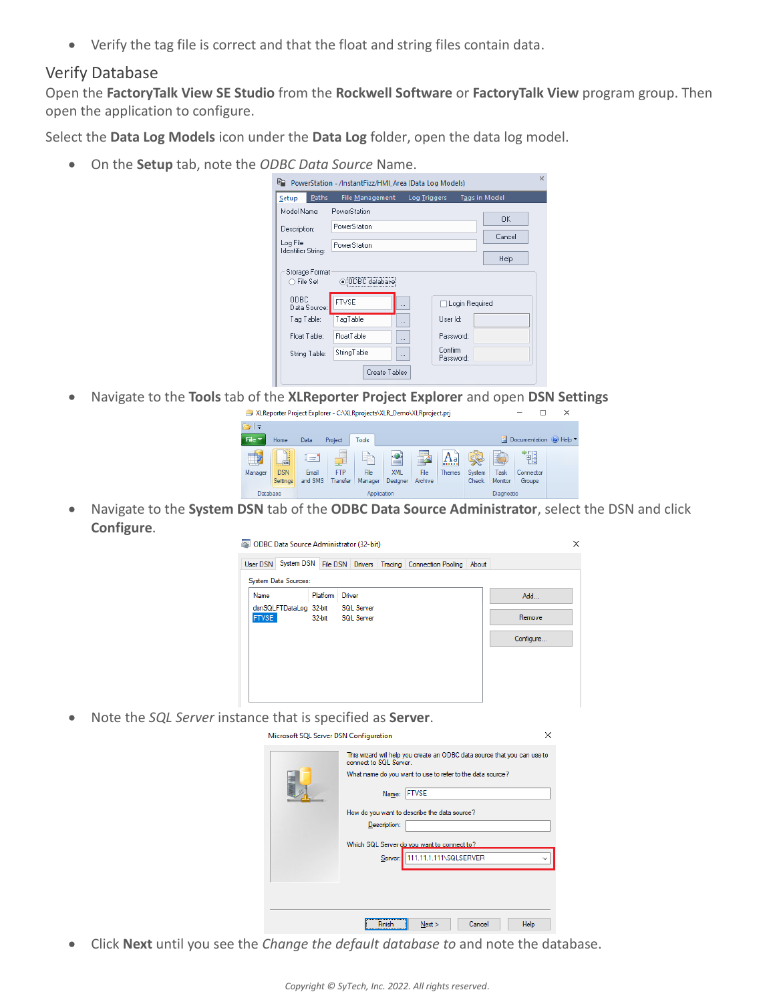Verify the tag file is correct and that the float and string files contain data.

### Verify Database

Open the **FactoryTalk View SE Studio** from the **Rockwell Software** or **FactoryTalk View** program group. Then open the application to configure.

Select the **Data Log Models** icon under the **Data Log** folder, open the data log model.

On the **Setup** tab, note the *ODBC Data Source* Name.

| Paths<br>Setup                 | <b>File Management</b> | Log Triggers         | <b>Tags in Model</b> |  |
|--------------------------------|------------------------|----------------------|----------------------|--|
| Model Name:                    | PowerStation           |                      | <b>OK</b>            |  |
| Description:                   | PowerStation           |                      |                      |  |
| Log File<br>Identifier String: | PowerStation           |                      | Cancel               |  |
|                                |                        |                      | Help                 |  |
| Storage Format<br>○ File Set   | ● ODBC database        |                      |                      |  |
| ODBC.<br>Data Source:          | <b>FTVSE</b>           |                      | Login Required       |  |
| Tag Table:                     | TagTable               | User Id:<br>$\cdots$ |                      |  |
| Float Table:                   | FloatTable             | $\cdots$             | Password:            |  |
|                                | StringTable            | Confirm              |                      |  |

Navigate to the **Tools** tab of the **XLReporter Project Explorer** and open **DSN Settings**

| XLReporter Project Explorer - C:\XLRprojects\XLR_Demo\XLRproject.prj |                                              |                           |                 |              |                             |                |               | $\times$ |         |           |  |                        |
|----------------------------------------------------------------------|----------------------------------------------|---------------------------|-----------------|--------------|-----------------------------|----------------|---------------|----------|---------|-----------|--|------------------------|
| $\rightarrow$ $=$                                                    |                                              |                           |                 |              |                             |                |               |          |         |           |  |                        |
| File *                                                               | Home                                         | Data                      | Project         | <b>Tools</b> |                             |                |               |          | E       |           |  | Documentation @ Help " |
| - 10                                                                 | $-100$                                       | $\mathbf{d} = \mathbf{d}$ | -               |              | $\left  \cdot \right $<br>≐ | $-\Box$<br>r—r | $A_{a}$       | 22       | 子       | 憴         |  |                        |
| Manager                                                              | <b>DSN</b>                                   | Email                     | <b>FTP</b>      | File         | <b>XML</b>                  | File           | <b>Themes</b> | System   | Task    | Connector |  |                        |
|                                                                      | Settings                                     | and SMS                   | <b>Transfer</b> | Manager      | Designer                    | Archive        |               | Check    | Monitor | Groups    |  |                        |
|                                                                      | Database<br><b>Diagnostic</b><br>Application |                           |                 |              |                             |                |               |          |         |           |  |                        |

 Navigate to the **System DSN** tab of the **ODBC Data Source Administrator**, select the DSN and click **Configure**.

| $\times$<br>ODBC Data Source Administrator (32-bit) |          |                                        |  |                                                   |  |           |  |
|-----------------------------------------------------|----------|----------------------------------------|--|---------------------------------------------------|--|-----------|--|
| System DSN<br>User DSN                              |          |                                        |  | File DSN Drivers Tracing Connection Pooling About |  |           |  |
| System Data Sources:                                |          |                                        |  |                                                   |  |           |  |
| Name                                                | Platform | Driver                                 |  |                                                   |  | Add       |  |
| dsnSQLFTDataLog 32-bit<br><b>FTVSE</b>              | 32-bit   | <b>SQL Server</b><br><b>SQL Server</b> |  |                                                   |  | Remove    |  |
|                                                     |          |                                        |  |                                                   |  | Configure |  |
|                                                     |          |                                        |  |                                                   |  |           |  |
|                                                     |          |                                        |  |                                                   |  |           |  |
|                                                     |          |                                        |  |                                                   |  |           |  |
|                                                     |          |                                        |  |                                                   |  |           |  |

Note the *SQL Server* instance that is specified as **Server**.

| incrosoft see server bory comiquiation. |                                                                                                    | $\overline{\phantom{a}}$ |
|-----------------------------------------|----------------------------------------------------------------------------------------------------|--------------------------|
|                                         | This wizard will help you create an ODBC data source that you can use to<br>connect to SQL Server. |                          |
|                                         | What name do you want to use to refer to the data source?                                          |                          |
|                                         | <b>FTVSE</b><br>Name:                                                                              |                          |
|                                         | How do you want to describe the data source?                                                       |                          |
|                                         | Description:                                                                                       |                          |
|                                         | Which SQL Server do you want to connect to?                                                        |                          |
|                                         | 111.11.1.111\SQLSERVER<br>Server:                                                                  |                          |
|                                         |                                                                                                    |                          |
|                                         |                                                                                                    |                          |
|                                         |                                                                                                    |                          |
|                                         | Next ><br>Cancel<br>Help<br>Finish                                                                 |                          |

Click **Next** until you see the *Change the default database to* and note the database.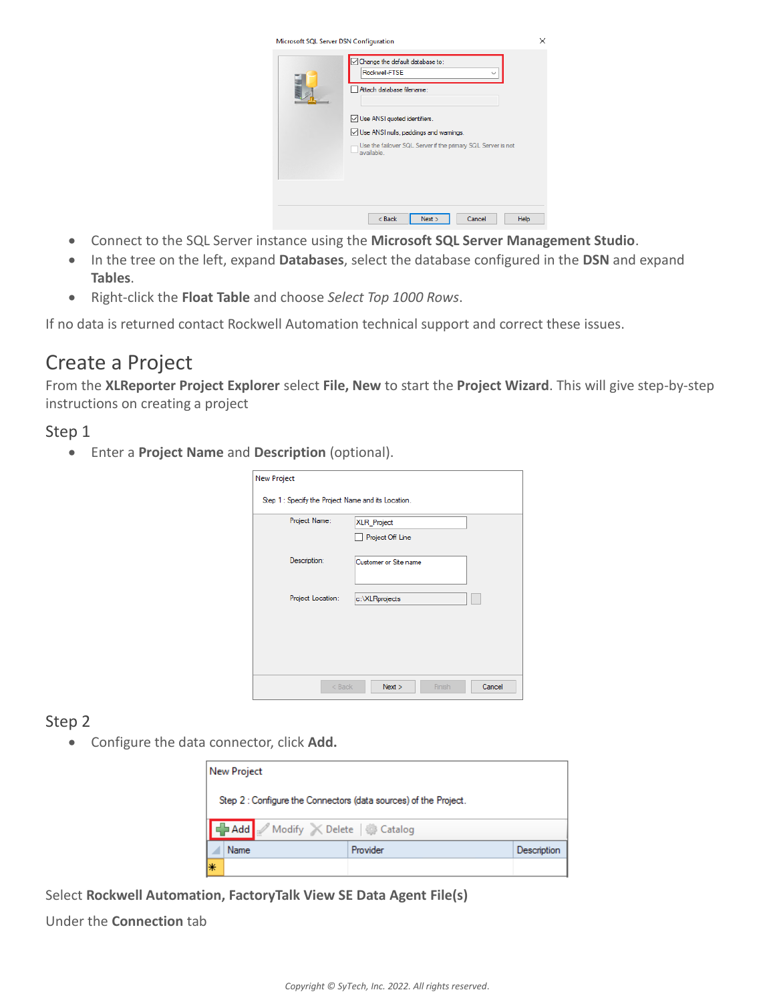| Microsoft SQL Server DSN Configuration | Change the default database to:<br>Rockwell-FTSE                           | ⋋    |
|----------------------------------------|----------------------------------------------------------------------------|------|
|                                        | Attach database filename:<br>Use ANSI quoted identifiers.                  |      |
|                                        | $\sqrt{\phantom{a}}$ Use ANSI nulls, paddings and wamings.                 |      |
|                                        | Use the failover SQL Server if the primary SQL Server is not<br>available. |      |
|                                        |                                                                            |      |
|                                        | Next<br>$<$ Back<br>Cancel                                                 | Help |

- Connect to the SQL Server instance using the **Microsoft SQL Server Management Studio**.
- In the tree on the left, expand **Databases**, select the database configured in the **DSN** and expand **Tables**.
- Right-click the **Float Table** and choose *Select Top 1000 Rows*.

If no data is returned contact Rockwell Automation technical support and correct these issues.

# Create a Project

From the **XLReporter Project Explorer** select **File, New** to start the **Project Wizard**. This will give step-by-step instructions on creating a project

## Step 1

Enter a **Project Name** and **Description** (optional).

| <b>New Project</b>                                  |                            |
|-----------------------------------------------------|----------------------------|
| Step 1 : Specify the Project Name and its Location. |                            |
| Project Name:                                       | <b>XLR_Project</b>         |
|                                                     | Project Off Line           |
| Description:                                        | Customer or Site name      |
|                                                     |                            |
| Project Location:                                   | c:\XLRprojects             |
|                                                     |                            |
|                                                     |                            |
|                                                     |                            |
|                                                     |                            |
| $<$ Back                                            | Finish<br>Cancel<br>Next > |

# Step 2

Configure the data connector, click **Add.**

|    | New Project                                                      |          |             |  |  |  |  |
|----|------------------------------------------------------------------|----------|-------------|--|--|--|--|
|    | Step 2 : Configure the Connectors (data sources) of the Project. |          |             |  |  |  |  |
|    | Add Modify X Delete   Catalog                                    |          |             |  |  |  |  |
|    | Name                                                             | Provider | Description |  |  |  |  |
| l∗ |                                                                  |          |             |  |  |  |  |

Select **Rockwell Automation, FactoryTalk View SE Data Agent File(s)**

Under the **Connection** tab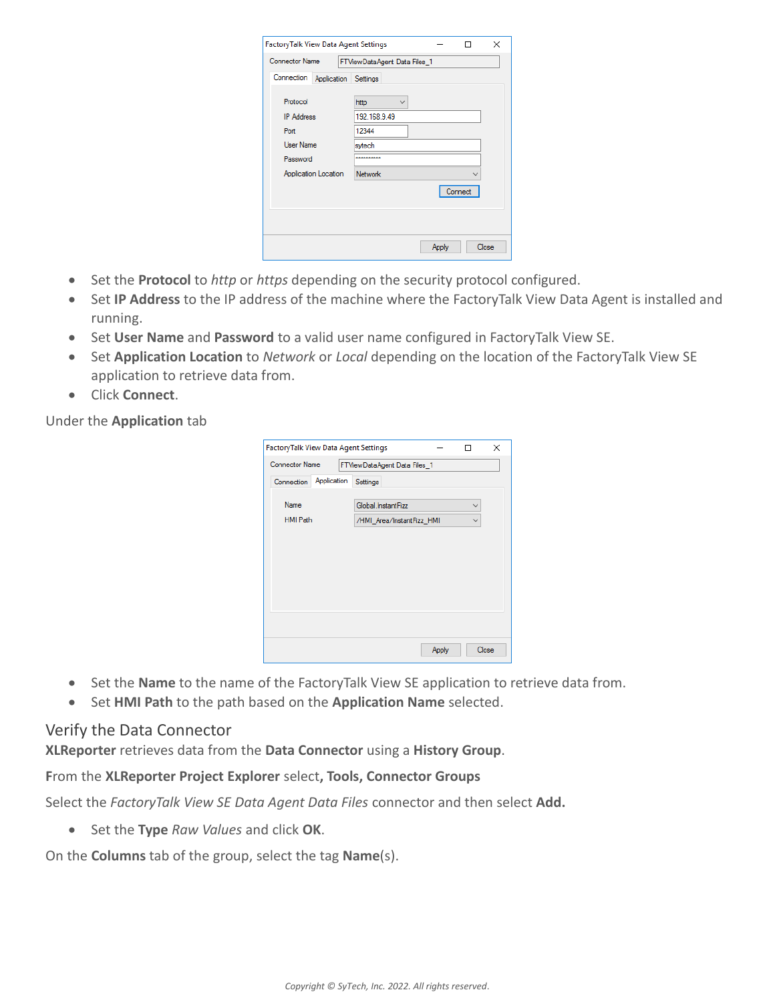| FactoryTalk View Data Agent Settings |                              |         | ×<br>ш |  |
|--------------------------------------|------------------------------|---------|--------|--|
| <b>Connector Name</b>                | FTViewDataAgent Data Files 1 |         |        |  |
| Connection<br>Application            | Settings                     |         |        |  |
| Protocol                             | http<br>$\checkmark$         |         |        |  |
| <b>IP Address</b>                    | 192.168.9.49                 |         |        |  |
| Port                                 | 12344                        |         |        |  |
| <b>User Name</b>                     | sytech                       |         |        |  |
| Password                             |                              |         |        |  |
| Application Location                 | <b>Network</b>               |         |        |  |
|                                      |                              | Connect |        |  |
|                                      |                              |         |        |  |
|                                      |                              |         |        |  |
|                                      |                              | Apply   | Close  |  |
|                                      |                              |         |        |  |

- Set the **Protocol** to *http* or *https* depending on the security protocol configured.
- Set **IP Address** to the IP address of the machine where the FactoryTalk View Data Agent is installed and running.
- **Set User Name** and **Password** to a valid user name configured in FactoryTalk View SE.
- Set **Application Location** to *Network* or *Local* depending on the location of the FactoryTalk View SE application to retrieve data from.
- Click **Connect**.

### Under the **Application** tab

| FactoryTalk View Data Agent Settings<br>× |                                                 |       |  |       |  |  |
|-------------------------------------------|-------------------------------------------------|-------|--|-------|--|--|
| <b>Connector Name</b>                     | FTViewDataAgent Data Files_1                    |       |  |       |  |  |
| Application<br>Connection                 | Settings                                        |       |  |       |  |  |
| Name                                      | Global.InstantFizz<br>/HMI_Area/InstantFizz_HMI |       |  |       |  |  |
| <b>HMI Path</b>                           |                                                 |       |  |       |  |  |
|                                           |                                                 |       |  |       |  |  |
|                                           |                                                 |       |  |       |  |  |
|                                           |                                                 |       |  |       |  |  |
|                                           |                                                 |       |  |       |  |  |
|                                           |                                                 |       |  |       |  |  |
|                                           |                                                 |       |  |       |  |  |
|                                           |                                                 |       |  |       |  |  |
|                                           |                                                 | Apply |  | Close |  |  |

- Set the **Name** to the name of the FactoryTalk View SE application to retrieve data from.
- Set **HMI Path** to the path based on the **Application Name** selected.

### Verify the Data Connector

**XLReporter** retrieves data from the **Data Connector** using a **History Group**.

### **F**rom the **XLReporter Project Explorer** select**, Tools, Connector Groups**

Select the *FactoryTalk View SE Data Agent Data Files* connector and then select **Add.**

Set the **Type** *Raw Values* and click **OK**.

On the **Columns** tab of the group, select the tag **Name**(s).